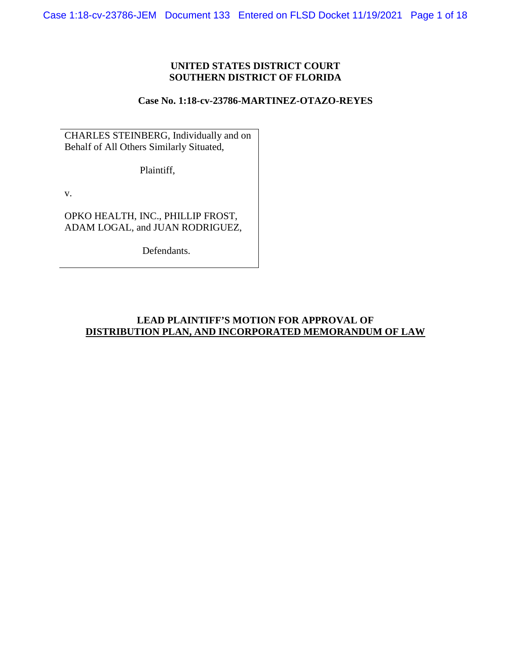## **UNITED STATES DISTRICT COURT SOUTHERN DISTRICT OF FLORIDA**

## **Case No. 1:18-cv-23786-MARTINEZ-OTAZO-REYES**

CHARLES STEINBERG, Individually and on Behalf of All Others Similarly Situated,

Plaintiff,

v.

OPKO HEALTH, INC., PHILLIP FROST, ADAM LOGAL, and JUAN RODRIGUEZ,

Defendants.

# **LEAD PLAINTIFF'S MOTION FOR APPROVAL OF DISTRIBUTION PLAN, AND INCORPORATED MEMORANDUM OF LAW**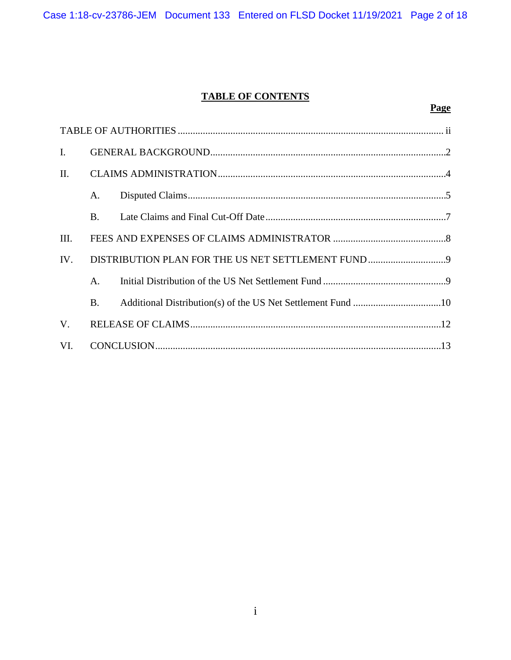# **TABLE OF CONTENTS**

| $\mathbf{I}$ . |             |  |  |  |
|----------------|-------------|--|--|--|
| II.            |             |  |  |  |
|                | А.          |  |  |  |
|                | B.          |  |  |  |
| III.           |             |  |  |  |
| IV.            |             |  |  |  |
|                | $A_{\cdot}$ |  |  |  |
|                | $B_{-}$     |  |  |  |
| $V_{\cdot}$    |             |  |  |  |
| VI.            |             |  |  |  |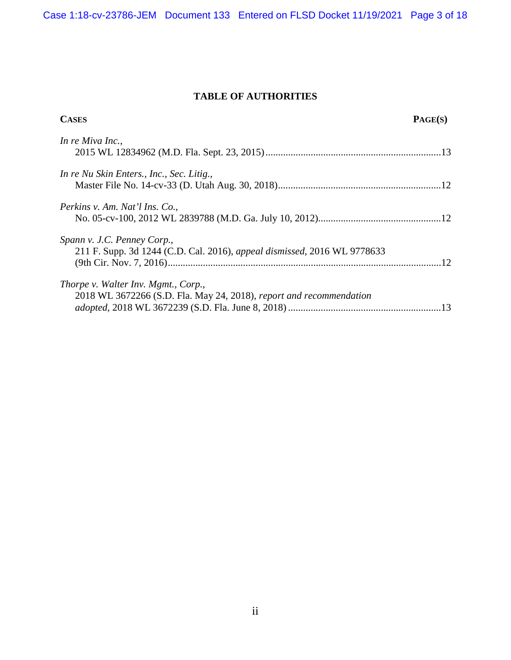Case 1:18-cv-23786-JEM Document 133 Entered on FLSD Docket 11/19/2021 Page 3 of 18

# **TABLE OF AUTHORITIES**

| <b>CASES</b>                                                                                               | PAGE(S) |
|------------------------------------------------------------------------------------------------------------|---------|
| In re Miva Inc.,                                                                                           |         |
| In re Nu Skin Enters., Inc., Sec. Litig.,                                                                  |         |
| Perkins v. Am. Nat'l Ins. Co.,                                                                             |         |
| Spann v. J.C. Penney Corp.,<br>211 F. Supp. 3d 1244 (C.D. Cal. 2016), appeal dismissed, 2016 WL 9778633    |         |
| Thorpe v. Walter Inv. Mgmt., Corp.,<br>2018 WL 3672266 (S.D. Fla. May 24, 2018), report and recommendation |         |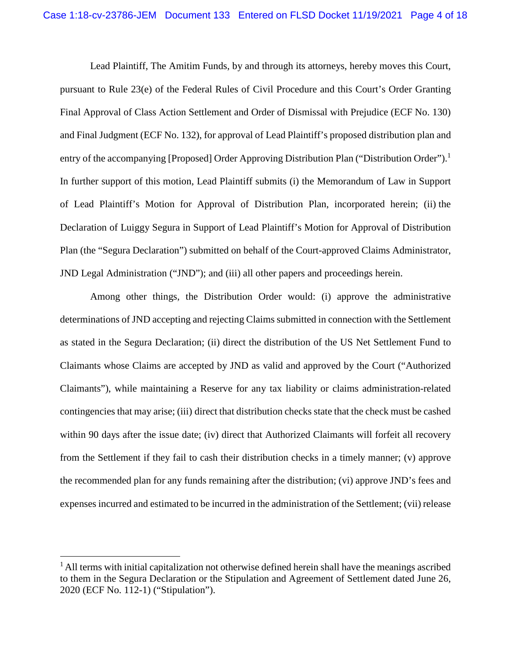Lead Plaintiff, The Amitim Funds, by and through its attorneys, hereby moves this Court, pursuant to Rule 23(e) of the Federal Rules of Civil Procedure and this Court's Order Granting Final Approval of Class Action Settlement and Order of Dismissal with Prejudice (ECF No. 130) and Final Judgment (ECF No. 132), for approval of Lead Plaintiff's proposed distribution plan and entry of the accompanying [Proposed] Order Approving Distribution Plan ("Distribution Order").<sup>1</sup> In further support of this motion, Lead Plaintiff submits (i) the Memorandum of Law in Support of Lead Plaintiff's Motion for Approval of Distribution Plan, incorporated herein; (ii) the Declaration of Luiggy Segura in Support of Lead Plaintiff's Motion for Approval of Distribution Plan (the "Segura Declaration") submitted on behalf of the Court-approved Claims Administrator, JND Legal Administration ("JND"); and (iii) all other papers and proceedings herein.

Among other things, the Distribution Order would: (i) approve the administrative determinations of JND accepting and rejecting Claims submitted in connection with the Settlement as stated in the Segura Declaration; (ii) direct the distribution of the US Net Settlement Fund to Claimants whose Claims are accepted by JND as valid and approved by the Court ("Authorized Claimants"), while maintaining a Reserve for any tax liability or claims administration-related contingencies that may arise; (iii) direct that distribution checks state that the check must be cashed within 90 days after the issue date; (iv) direct that Authorized Claimants will forfeit all recovery from the Settlement if they fail to cash their distribution checks in a timely manner; (v) approve the recommended plan for any funds remaining after the distribution; (vi) approve JND's fees and expenses incurred and estimated to be incurred in the administration of the Settlement; (vii) release

 $\overline{\phantom{a}}$ 

 $<sup>1</sup>$  All terms with initial capitalization not otherwise defined herein shall have the meanings ascribed</sup> to them in the Segura Declaration or the Stipulation and Agreement of Settlement dated June 26, 2020 (ECF No. 112-1) ("Stipulation").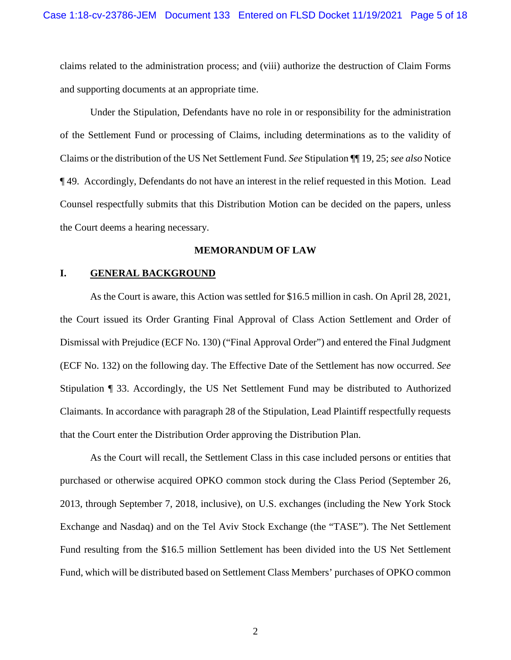claims related to the administration process; and (viii) authorize the destruction of Claim Forms and supporting documents at an appropriate time.

Under the Stipulation, Defendants have no role in or responsibility for the administration of the Settlement Fund or processing of Claims, including determinations as to the validity of Claims or the distribution of the US Net Settlement Fund. *See* Stipulation ¶¶ 19, 25; *see also* Notice ¶ 49. Accordingly, Defendants do not have an interest in the relief requested in this Motion. Lead Counsel respectfully submits that this Distribution Motion can be decided on the papers, unless the Court deems a hearing necessary.

#### **MEMORANDUM OF LAW**

## **I. GENERAL BACKGROUND**

As the Court is aware, this Action was settled for \$16.5 million in cash. On April 28, 2021, the Court issued its Order Granting Final Approval of Class Action Settlement and Order of Dismissal with Prejudice (ECF No. 130) ("Final Approval Order") and entered the Final Judgment (ECF No. 132) on the following day. The Effective Date of the Settlement has now occurred. *See*  Stipulation ¶ 33. Accordingly, the US Net Settlement Fund may be distributed to Authorized Claimants. In accordance with paragraph 28 of the Stipulation, Lead Plaintiff respectfully requests that the Court enter the Distribution Order approving the Distribution Plan.

As the Court will recall, the Settlement Class in this case included persons or entities that purchased or otherwise acquired OPKO common stock during the Class Period (September 26, 2013, through September 7, 2018, inclusive), on U.S. exchanges (including the New York Stock Exchange and Nasdaq) and on the Tel Aviv Stock Exchange (the "TASE"). The Net Settlement Fund resulting from the \$16.5 million Settlement has been divided into the US Net Settlement Fund, which will be distributed based on Settlement Class Members' purchases of OPKO common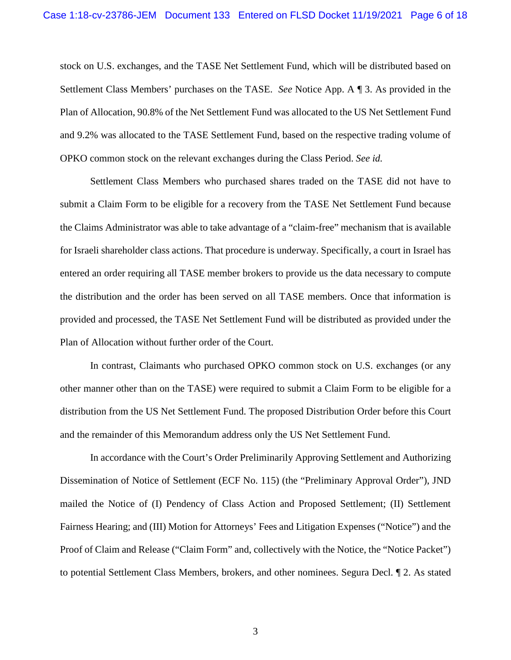stock on U.S. exchanges, and the TASE Net Settlement Fund, which will be distributed based on Settlement Class Members' purchases on the TASE. *See* Notice App. A ¶ 3. As provided in the Plan of Allocation, 90.8% of the Net Settlement Fund was allocated to the US Net Settlement Fund and 9.2% was allocated to the TASE Settlement Fund, based on the respective trading volume of OPKO common stock on the relevant exchanges during the Class Period. *See id.*

Settlement Class Members who purchased shares traded on the TASE did not have to submit a Claim Form to be eligible for a recovery from the TASE Net Settlement Fund because the Claims Administrator was able to take advantage of a "claim-free" mechanism that is available for Israeli shareholder class actions. That procedure is underway. Specifically, a court in Israel has entered an order requiring all TASE member brokers to provide us the data necessary to compute the distribution and the order has been served on all TASE members. Once that information is provided and processed, the TASE Net Settlement Fund will be distributed as provided under the Plan of Allocation without further order of the Court.

In contrast, Claimants who purchased OPKO common stock on U.S. exchanges (or any other manner other than on the TASE) were required to submit a Claim Form to be eligible for a distribution from the US Net Settlement Fund. The proposed Distribution Order before this Court and the remainder of this Memorandum address only the US Net Settlement Fund.

In accordance with the Court's Order Preliminarily Approving Settlement and Authorizing Dissemination of Notice of Settlement (ECF No. 115) (the "Preliminary Approval Order"), JND mailed the Notice of (I) Pendency of Class Action and Proposed Settlement; (II) Settlement Fairness Hearing; and (III) Motion for Attorneys' Fees and Litigation Expenses ("Notice") and the Proof of Claim and Release ("Claim Form" and, collectively with the Notice, the "Notice Packet") to potential Settlement Class Members, brokers, and other nominees. Segura Decl. ¶ 2. As stated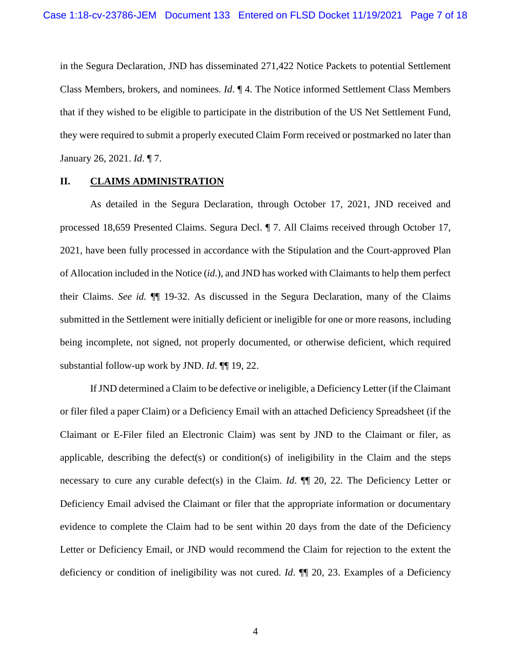in the Segura Declaration, JND has disseminated 271,422 Notice Packets to potential Settlement Class Members, brokers, and nominees. *Id*. ¶ 4. The Notice informed Settlement Class Members that if they wished to be eligible to participate in the distribution of the US Net Settlement Fund, they were required to submit a properly executed Claim Form received or postmarked no later than January 26, 2021. *Id*. ¶ 7.

## **II. CLAIMS ADMINISTRATION**

As detailed in the Segura Declaration, through October 17, 2021, JND received and processed 18,659 Presented Claims. Segura Decl. ¶ 7. All Claims received through October 17, 2021, have been fully processed in accordance with the Stipulation and the Court-approved Plan of Allocation included in the Notice (*id*.), and JND has worked with Claimants to help them perfect their Claims. *See id.* ¶¶ 19-32. As discussed in the Segura Declaration, many of the Claims submitted in the Settlement were initially deficient or ineligible for one or more reasons, including being incomplete, not signed, not properly documented, or otherwise deficient, which required substantial follow-up work by JND. *Id*. ¶¶ 19, 22.

If JND determined a Claim to be defective or ineligible, a Deficiency Letter (if the Claimant or filer filed a paper Claim) or a Deficiency Email with an attached Deficiency Spreadsheet (if the Claimant or E-Filer filed an Electronic Claim) was sent by JND to the Claimant or filer, as applicable, describing the defect(s) or condition(s) of ineligibility in the Claim and the steps necessary to cure any curable defect(s) in the Claim. *Id*. ¶¶ 20, 22. The Deficiency Letter or Deficiency Email advised the Claimant or filer that the appropriate information or documentary evidence to complete the Claim had to be sent within 20 days from the date of the Deficiency Letter or Deficiency Email, or JND would recommend the Claim for rejection to the extent the deficiency or condition of ineligibility was not cured. *Id*. ¶¶ 20, 23. Examples of a Deficiency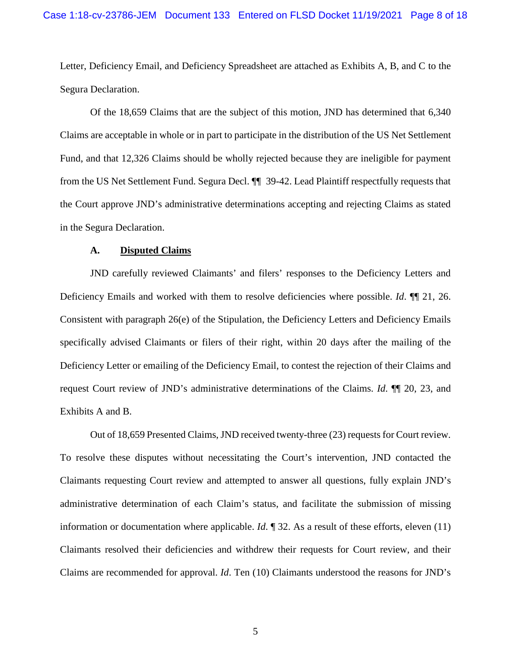Letter, Deficiency Email, and Deficiency Spreadsheet are attached as Exhibits A, B, and C to the Segura Declaration.

Of the 18,659 Claims that are the subject of this motion, JND has determined that 6,340 Claims are acceptable in whole or in part to participate in the distribution of the US Net Settlement Fund, and that 12,326 Claims should be wholly rejected because they are ineligible for payment from the US Net Settlement Fund. Segura Decl. ¶¶\_39-42. Lead Plaintiff respectfully requests that the Court approve JND's administrative determinations accepting and rejecting Claims as stated in the Segura Declaration.

#### **A. Disputed Claims**

JND carefully reviewed Claimants' and filers' responses to the Deficiency Letters and Deficiency Emails and worked with them to resolve deficiencies where possible. *Id*. ¶¶ 21, 26. Consistent with paragraph 26(e) of the Stipulation, the Deficiency Letters and Deficiency Emails specifically advised Claimants or filers of their right, within 20 days after the mailing of the Deficiency Letter or emailing of the Deficiency Email, to contest the rejection of their Claims and request Court review of JND's administrative determinations of the Claims. *Id*. ¶¶ 20, 23, and Exhibits A and B.

Out of 18,659 Presented Claims, JND received twenty-three (23) requests for Court review. To resolve these disputes without necessitating the Court's intervention, JND contacted the Claimants requesting Court review and attempted to answer all questions, fully explain JND's administrative determination of each Claim's status, and facilitate the submission of missing information or documentation where applicable. *Id*. ¶ 32. As a result of these efforts, eleven (11) Claimants resolved their deficiencies and withdrew their requests for Court review, and their Claims are recommended for approval. *Id*. Ten (10) Claimants understood the reasons for JND's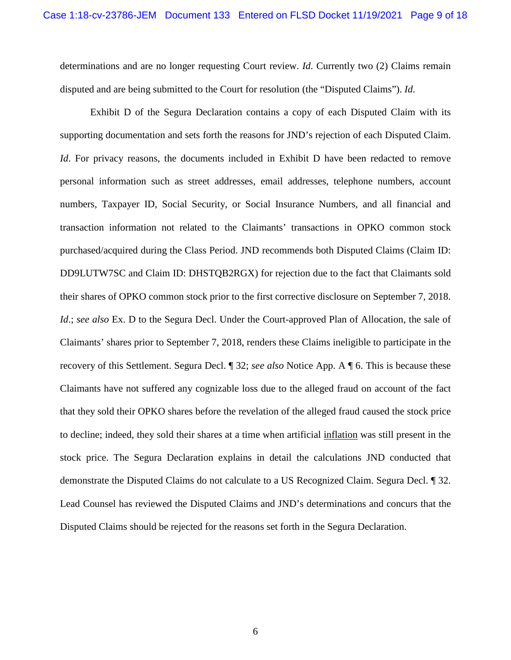determinations and are no longer requesting Court review. *Id*. Currently two (2) Claims remain disputed and are being submitted to the Court for resolution (the "Disputed Claims"). *Id*.

Exhibit D of the Segura Declaration contains a copy of each Disputed Claim with its supporting documentation and sets forth the reasons for JND's rejection of each Disputed Claim. *Id*. For privacy reasons, the documents included in Exhibit D have been redacted to remove personal information such as street addresses, email addresses, telephone numbers, account numbers, Taxpayer ID, Social Security, or Social Insurance Numbers, and all financial and transaction information not related to the Claimants' transactions in OPKO common stock purchased/acquired during the Class Period. JND recommends both Disputed Claims (Claim ID: DD9LUTW7SC and Claim ID: DHSTQB2RGX) for rejection due to the fact that Claimants sold their shares of OPKO common stock prior to the first corrective disclosure on September 7, 2018. *Id.*; *see also* Ex. D to the Segura Decl. Under the Court-approved Plan of Allocation, the sale of Claimants' shares prior to September 7, 2018, renders these Claims ineligible to participate in the recovery of this Settlement. Segura Decl. ¶ 32; *see also* Notice App. A ¶ 6. This is because these Claimants have not suffered any cognizable loss due to the alleged fraud on account of the fact that they sold their OPKO shares before the revelation of the alleged fraud caused the stock price to decline; indeed, they sold their shares at a time when artificial inflation was still present in the stock price. The Segura Declaration explains in detail the calculations JND conducted that demonstrate the Disputed Claims do not calculate to a US Recognized Claim. Segura Decl. ¶ 32. Lead Counsel has reviewed the Disputed Claims and JND's determinations and concurs that the Disputed Claims should be rejected for the reasons set forth in the Segura Declaration.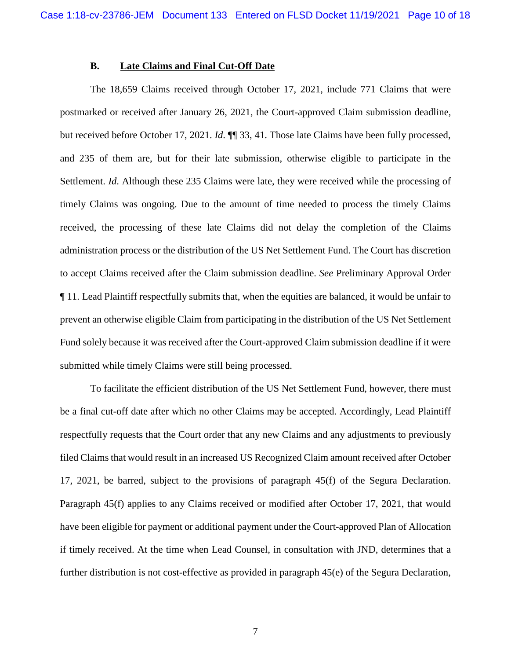#### **B. Late Claims and Final Cut-Off Date**

The 18,659 Claims received through October 17, 2021, include 771 Claims that were postmarked or received after January 26, 2021, the Court-approved Claim submission deadline, but received before October 17, 2021. *Id*. ¶¶ 33, 41. Those late Claims have been fully processed, and 235 of them are, but for their late submission, otherwise eligible to participate in the Settlement. *Id*. Although these 235 Claims were late, they were received while the processing of timely Claims was ongoing. Due to the amount of time needed to process the timely Claims received, the processing of these late Claims did not delay the completion of the Claims administration process or the distribution of the US Net Settlement Fund. The Court has discretion to accept Claims received after the Claim submission deadline. *See* Preliminary Approval Order ¶ 11. Lead Plaintiff respectfully submits that, when the equities are balanced, it would be unfair to prevent an otherwise eligible Claim from participating in the distribution of the US Net Settlement Fund solely because it was received after the Court-approved Claim submission deadline if it were submitted while timely Claims were still being processed.

To facilitate the efficient distribution of the US Net Settlement Fund, however, there must be a final cut-off date after which no other Claims may be accepted. Accordingly, Lead Plaintiff respectfully requests that the Court order that any new Claims and any adjustments to previously filed Claims that would result in an increased US Recognized Claim amount received after October 17, 2021, be barred, subject to the provisions of paragraph 45(f) of the Segura Declaration. Paragraph 45(f) applies to any Claims received or modified after October 17, 2021, that would have been eligible for payment or additional payment under the Court-approved Plan of Allocation if timely received. At the time when Lead Counsel, in consultation with JND, determines that a further distribution is not cost-effective as provided in paragraph 45(e) of the Segura Declaration,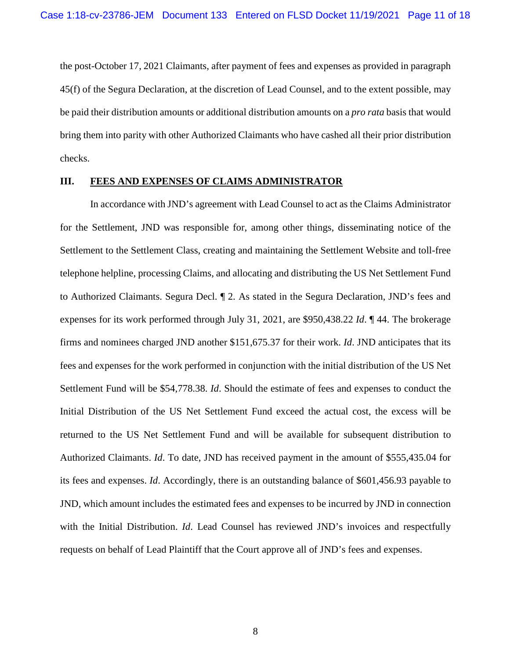the post-October 17, 2021 Claimants, after payment of fees and expenses as provided in paragraph 45(f) of the Segura Declaration, at the discretion of Lead Counsel, and to the extent possible, may be paid their distribution amounts or additional distribution amounts on a *pro rata* basis that would bring them into parity with other Authorized Claimants who have cashed all their prior distribution checks.

## **III. FEES AND EXPENSES OF CLAIMS ADMINISTRATOR**

In accordance with JND's agreement with Lead Counsel to act as the Claims Administrator for the Settlement, JND was responsible for, among other things, disseminating notice of the Settlement to the Settlement Class, creating and maintaining the Settlement Website and toll-free telephone helpline, processing Claims, and allocating and distributing the US Net Settlement Fund to Authorized Claimants. Segura Decl. ¶ 2. As stated in the Segura Declaration, JND's fees and expenses for its work performed through July 31, 2021, are \$950,438.22 *Id*. ¶ 44. The brokerage firms and nominees charged JND another \$151,675.37 for their work. *Id*. JND anticipates that its fees and expenses for the work performed in conjunction with the initial distribution of the US Net Settlement Fund will be \$54,778.38. *Id*. Should the estimate of fees and expenses to conduct the Initial Distribution of the US Net Settlement Fund exceed the actual cost, the excess will be returned to the US Net Settlement Fund and will be available for subsequent distribution to Authorized Claimants. *Id*. To date, JND has received payment in the amount of \$555,435.04 for its fees and expenses. *Id*. Accordingly, there is an outstanding balance of \$601,456.93 payable to JND, which amount includes the estimated fees and expenses to be incurred by JND in connection with the Initial Distribution. *Id*. Lead Counsel has reviewed JND's invoices and respectfully requests on behalf of Lead Plaintiff that the Court approve all of JND's fees and expenses.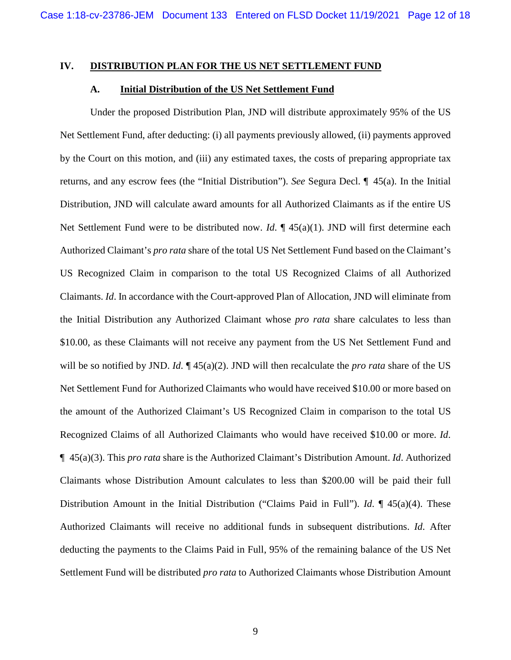#### **IV. DISTRIBUTION PLAN FOR THE US NET SETTLEMENT FUND**

#### **A. Initial Distribution of the US Net Settlement Fund**

Under the proposed Distribution Plan, JND will distribute approximately 95% of the US Net Settlement Fund, after deducting: (i) all payments previously allowed, (ii) payments approved by the Court on this motion, and (iii) any estimated taxes, the costs of preparing appropriate tax returns, and any escrow fees (the "Initial Distribution"). *See* Segura Decl. ¶\_45(a). In the Initial Distribution, JND will calculate award amounts for all Authorized Claimants as if the entire US Net Settlement Fund were to be distributed now. *Id*. ¶ 45(a)(1). JND will first determine each Authorized Claimant's *pro rata* share of the total US Net Settlement Fund based on the Claimant's US Recognized Claim in comparison to the total US Recognized Claims of all Authorized Claimants. *Id*. In accordance with the Court-approved Plan of Allocation, JND will eliminate from the Initial Distribution any Authorized Claimant whose *pro rata* share calculates to less than \$10.00, as these Claimants will not receive any payment from the US Net Settlement Fund and will be so notified by JND. *Id*. ¶ 45(a)(2). JND will then recalculate the *pro rata* share of the US Net Settlement Fund for Authorized Claimants who would have received \$10.00 or more based on the amount of the Authorized Claimant's US Recognized Claim in comparison to the total US Recognized Claims of all Authorized Claimants who would have received \$10.00 or more. *Id*. ¶\_45(a)(3). This *pro rata* share is the Authorized Claimant's Distribution Amount. *Id*. Authorized Claimants whose Distribution Amount calculates to less than \$200.00 will be paid their full Distribution Amount in the Initial Distribution ("Claims Paid in Full"). *Id*. ¶ 45(a)(4). These Authorized Claimants will receive no additional funds in subsequent distributions. *Id*. After deducting the payments to the Claims Paid in Full, 95% of the remaining balance of the US Net Settlement Fund will be distributed *pro rata* to Authorized Claimants whose Distribution Amount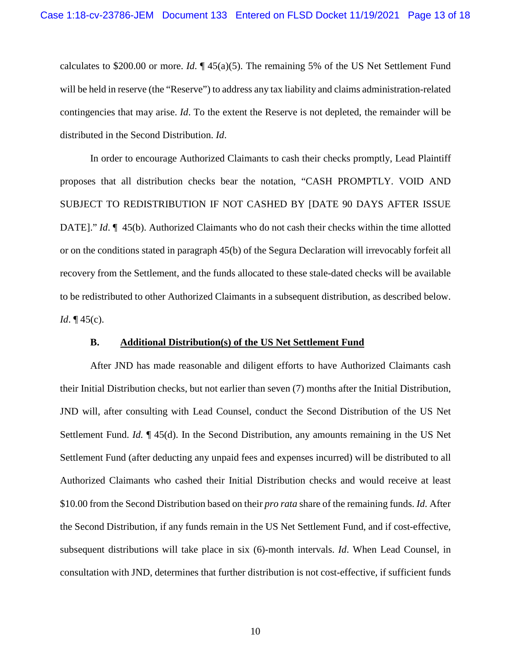calculates to \$200.00 or more. *Id*. ¶ 45(a)(5). The remaining 5% of the US Net Settlement Fund will be held in reserve (the "Reserve") to address any tax liability and claims administration-related contingencies that may arise. *Id*. To the extent the Reserve is not depleted, the remainder will be distributed in the Second Distribution. *Id*.

In order to encourage Authorized Claimants to cash their checks promptly, Lead Plaintiff proposes that all distribution checks bear the notation, "CASH PROMPTLY. VOID AND SUBJECT TO REDISTRIBUTION IF NOT CASHED BY [DATE 90 DAYS AFTER ISSUE DATE]." *Id*.  $\llbracket$  45(b). Authorized Claimants who do not cash their checks within the time allotted or on the conditions stated in paragraph 45(b) of the Segura Declaration will irrevocably forfeit all recovery from the Settlement, and the funds allocated to these stale-dated checks will be available to be redistributed to other Authorized Claimants in a subsequent distribution, as described below. *Id*. **[45(c)**.

#### **B. Additional Distribution(s) of the US Net Settlement Fund**

After JND has made reasonable and diligent efforts to have Authorized Claimants cash their Initial Distribution checks, but not earlier than seven (7) months after the Initial Distribution, JND will, after consulting with Lead Counsel, conduct the Second Distribution of the US Net Settlement Fund. *Id.* ¶ 45(d). In the Second Distribution, any amounts remaining in the US Net Settlement Fund (after deducting any unpaid fees and expenses incurred) will be distributed to all Authorized Claimants who cashed their Initial Distribution checks and would receive at least \$10.00 from the Second Distribution based on their *pro rata* share of the remaining funds. *Id*. After the Second Distribution, if any funds remain in the US Net Settlement Fund, and if cost-effective, subsequent distributions will take place in six (6)-month intervals. *Id*. When Lead Counsel, in consultation with JND, determines that further distribution is not cost-effective, if sufficient funds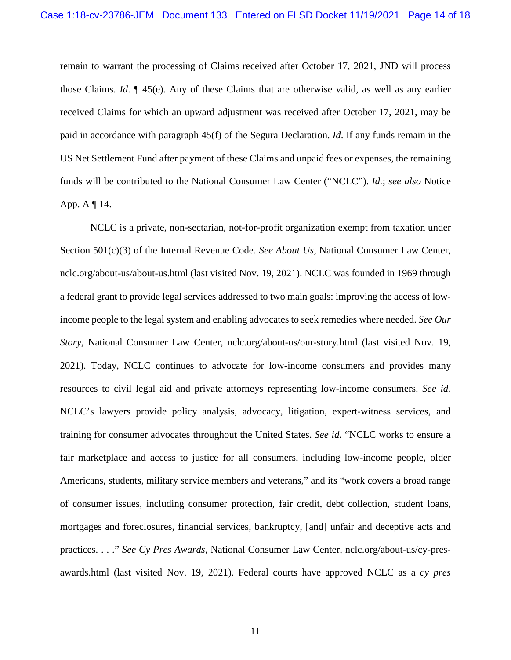remain to warrant the processing of Claims received after October 17, 2021, JND will process those Claims. *Id*. ¶ 45(e). Any of these Claims that are otherwise valid, as well as any earlier received Claims for which an upward adjustment was received after October 17, 2021, may be paid in accordance with paragraph 45(f) of the Segura Declaration. *Id*. If any funds remain in the US Net Settlement Fund after payment of these Claims and unpaid fees or expenses, the remaining funds will be contributed to the National Consumer Law Center ("NCLC"). *Id.*; *see also* Notice App. A ¶ 14.

NCLC is a private, non-sectarian, not-for-profit organization exempt from taxation under Section 501(c)(3) of the Internal Revenue Code. *See About Us*, National Consumer Law Center, nclc.org/about-us/about-us.html (last visited Nov. 19, 2021). NCLC was founded in 1969 through a federal grant to provide legal services addressed to two main goals: improving the access of lowincome people to the legal system and enabling advocates to seek remedies where needed. *See Our Story*, National Consumer Law Center, nclc.org/about-us/our-story.html (last visited Nov. 19, 2021). Today, NCLC continues to advocate for low-income consumers and provides many resources to civil legal aid and private attorneys representing low-income consumers. *See id.* NCLC's lawyers provide policy analysis, advocacy, litigation, expert-witness services, and training for consumer advocates throughout the United States. *See id.* "NCLC works to ensure a fair marketplace and access to justice for all consumers, including low-income people, older Americans, students, military service members and veterans," and its "work covers a broad range of consumer issues, including consumer protection, fair credit, debt collection, student loans, mortgages and foreclosures, financial services, bankruptcy, [and] unfair and deceptive acts and practices. . . ." *See Cy Pres Awards*, National Consumer Law Center, nclc.org/about-us/cy-presawards.html (last visited Nov. 19, 2021). Federal courts have approved NCLC as a *cy pres*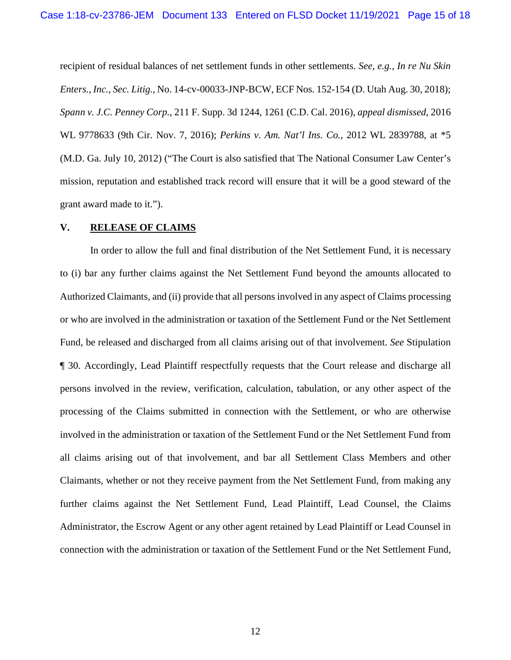recipient of residual balances of net settlement funds in other settlements. *See, e.g.*, *In re Nu Skin Enters., Inc., Sec. Litig.*, No. 14-cv-00033-JNP-BCW, ECF Nos. 152-154 (D. Utah Aug. 30, 2018); *Spann v. J.C. Penney Corp.*, 211 F. Supp. 3d 1244, 1261 (C.D. Cal. 2016), *appeal dismissed*, 2016 WL 9778633 (9th Cir. Nov. 7, 2016); *Perkins v. Am. Nat'l Ins. Co.*, 2012 WL 2839788, at \*5 (M.D. Ga. July 10, 2012) ("The Court is also satisfied that The National Consumer Law Center's mission, reputation and established track record will ensure that it will be a good steward of the grant award made to it.").

### **V. RELEASE OF CLAIMS**

In order to allow the full and final distribution of the Net Settlement Fund, it is necessary to (i) bar any further claims against the Net Settlement Fund beyond the amounts allocated to Authorized Claimants, and (ii) provide that all persons involved in any aspect of Claims processing or who are involved in the administration or taxation of the Settlement Fund or the Net Settlement Fund, be released and discharged from all claims arising out of that involvement. *See* Stipulation ¶ 30. Accordingly, Lead Plaintiff respectfully requests that the Court release and discharge all persons involved in the review, verification, calculation, tabulation, or any other aspect of the processing of the Claims submitted in connection with the Settlement, or who are otherwise involved in the administration or taxation of the Settlement Fund or the Net Settlement Fund from all claims arising out of that involvement, and bar all Settlement Class Members and other Claimants, whether or not they receive payment from the Net Settlement Fund, from making any further claims against the Net Settlement Fund, Lead Plaintiff, Lead Counsel, the Claims Administrator, the Escrow Agent or any other agent retained by Lead Plaintiff or Lead Counsel in connection with the administration or taxation of the Settlement Fund or the Net Settlement Fund,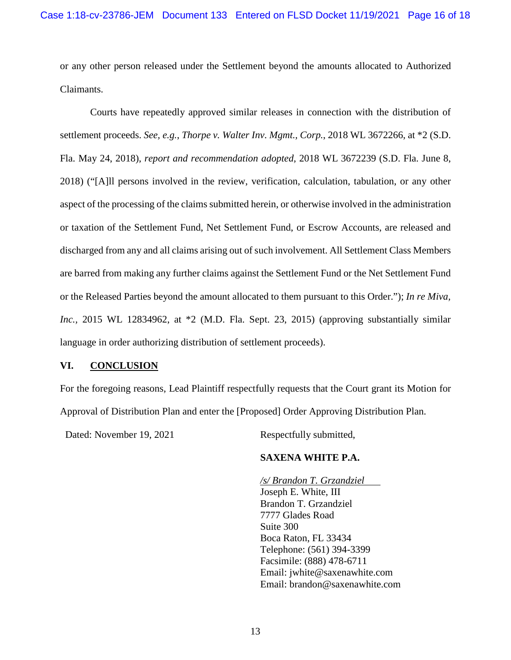or any other person released under the Settlement beyond the amounts allocated to Authorized Claimants.

Courts have repeatedly approved similar releases in connection with the distribution of settlement proceeds. *See, e.g.*, *Thorpe v. Walter Inv. Mgmt., Corp.*, 2018 WL 3672266, at \*2 (S.D. Fla. May 24, 2018), *report and recommendation adopted*, 2018 WL 3672239 (S.D. Fla. June 8, 2018) ("[A]ll persons involved in the review, verification, calculation, tabulation, or any other aspect of the processing of the claims submitted herein, or otherwise involved in the administration or taxation of the Settlement Fund, Net Settlement Fund, or Escrow Accounts, are released and discharged from any and all claims arising out of such involvement. All Settlement Class Members are barred from making any further claims against the Settlement Fund or the Net Settlement Fund or the Released Parties beyond the amount allocated to them pursuant to this Order."); *In re Miva, Inc.*, 2015 WL 12834962, at \*2 (M.D. Fla. Sept. 23, 2015) (approving substantially similar language in order authorizing distribution of settlement proceeds).

### **VI. CONCLUSION**

For the foregoing reasons, Lead Plaintiff respectfully requests that the Court grant its Motion for Approval of Distribution Plan and enter the [Proposed] Order Approving Distribution Plan.

Dated: November 19, 2021 Respectfully submitted,

# **SAXENA WHITE P.A.**

*/s/ Brandon T. Grzandziel*  Joseph E. White, III Brandon T. Grzandziel 7777 Glades Road Suite 300 Boca Raton, FL 33434 Telephone: (561) 394-3399 Facsimile: (888) 478-6711 Email: jwhite@saxenawhite.com Email: brandon@saxenawhite.com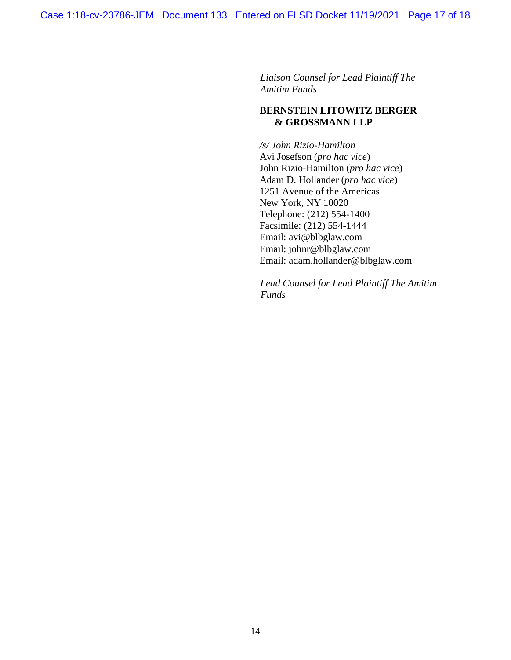*Liaison Counsel for Lead Plaintiff The Amitim Funds*

## **BERNSTEIN LITOWITZ BERGER & GROSSMANN LLP**

*/s/ John Rizio-Hamilton*  Avi Josefson (*pro hac vice*) John Rizio-Hamilton (*pro hac vice*) Adam D. Hollander (*pro hac vice*) 1251 Avenue of the Americas New York, NY 10020 Telephone: (212) 554-1400 Facsimile: (212) 554-1444 Email: avi@blbglaw.com Email: johnr@blbglaw.com Email: adam.hollander@blbglaw.com

*Lead Counsel for Lead Plaintiff The Amitim Funds*